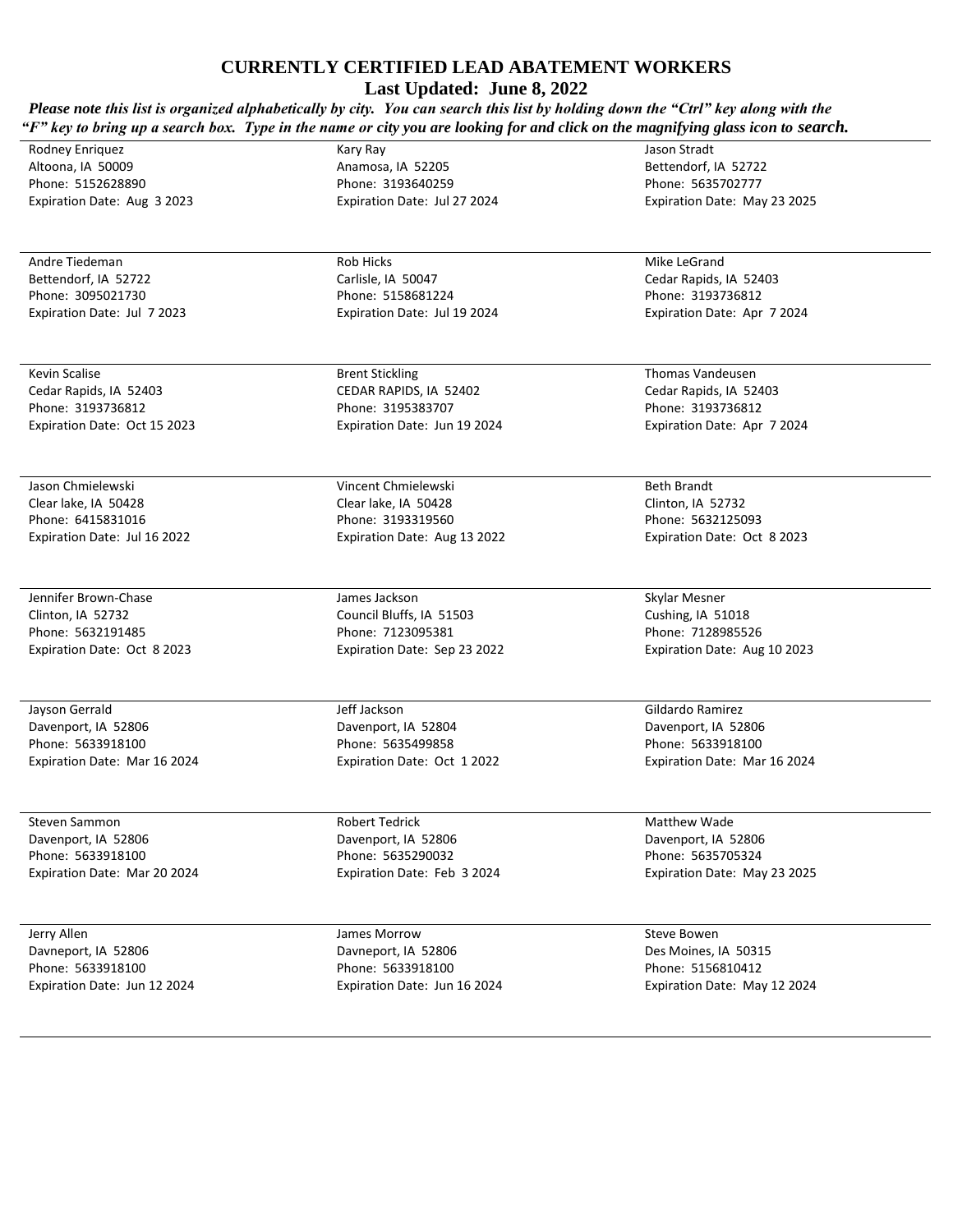**Last Updated: June 8, 2022**

*Please note this list is organized alphabetically by city. You can search this list by holding down the "Ctrl" key along with the "F" key to bring up a search box. Type in the name or city you are looking for and click on the magnifying glass icon to search.*  Kary Ray

Rodney Enriquez Altoona, IA 50009 Phone: 5152628890 Expiration Date: Aug 3 2023

Andre Tiedeman Bettendorf, IA 52722 Phone: 3095021730 Expiration Date: Jul 7 2023

Kevin Scalise Cedar Rapids, IA 52403 Phone: 3193736812 Expiration Date: Oct 15 2023

Jason Chmielewski Clear lake, IA 50428 Phone: 6415831016 Expiration Date: Jul 16 2022

Jennifer Brown-Chase Clinton, IA 52732 Phone: 5632191485 Expiration Date: Oct 8 2023

Jayson Gerrald Davenport, IA 52806 Phone: 5633918100 Expiration Date: Mar 16 2024

Steven Sammon Davenport, IA 52806 Phone: 5633918100 Expiration Date: Mar 20 2024

Jerry Allen Davneport, IA 52806 Phone: 5633918100 Expiration Date: Jun 12 2024 Anamosa, IA 52205 Phone: 3193640259 Expiration Date: Jul 27 2024

Rob Hicks Carlisle, IA 50047 Phone: 5158681224 Expiration Date: Jul 19 2024

Brent Stickling CEDAR RAPIDS, IA 52402 Phone: 3195383707 Expiration Date: Jun 19 2024

Vincent Chmielewski Clear lake, IA 50428 Phone: 3193319560 Expiration Date: Aug 13 2022

James Jackson Council Bluffs, IA 51503 Phone: 7123095381 Expiration Date: Sep 23 2022

Jeff Jackson Davenport, IA 52804 Phone: 5635499858 Expiration Date: Oct 1 2022

Robert Tedrick Davenport, IA 52806 Phone: 5635290032 Expiration Date: Feb 3 2024

James Morrow Davneport, IA 52806 Phone: 5633918100 Expiration Date: Jun 16 2024 Jason Stradt Bettendorf, IA 52722 Phone: 5635702777 Expiration Date: May 23 2025

Mike LeGrand Cedar Rapids, IA 52403 Phone: 3193736812 Expiration Date: Apr 7 2024

Thomas Vandeusen Cedar Rapids, IA 52403 Phone: 3193736812 Expiration Date: Apr 7 2024

Beth Brandt Clinton, IA 52732 Phone: 5632125093 Expiration Date: Oct 8 2023

Skylar Mesner Cushing, IA 51018 Phone: 7128985526 Expiration Date: Aug 10 2023

Gildardo Ramirez Davenport, IA 52806 Phone: 5633918100 Expiration Date: Mar 16 2024

Matthew Wade Davenport, IA 52806 Phone: 5635705324 Expiration Date: May 23 2025

Steve Bowen Des Moines, IA 50315 Phone: 5156810412 Expiration Date: May 12 2024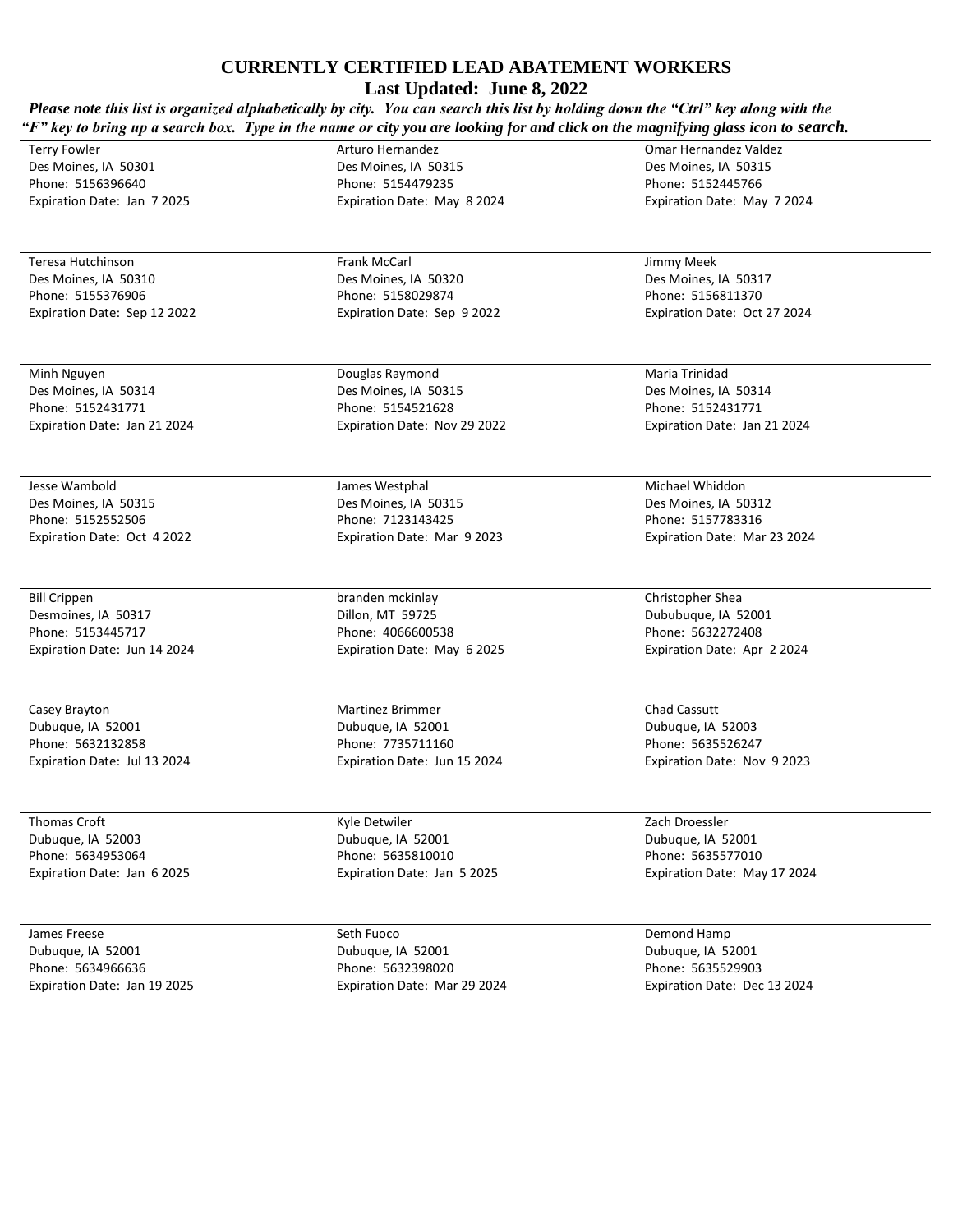**Last Updated: June 8, 2022**

*Please note this list is organized alphabetically by city. You can search this list by holding down the "Ctrl" key along with the "F" key to bring up a search box. Type in the name or city you are looking for and click on the magnifying glass icon to search.* 

Terry Fowler Des Moines, IA 50301 Phone: 5156396640 Expiration Date: Jan 7 2025

Teresa Hutchinson Des Moines, IA 50310 Phone: 5155376906 Expiration Date: Sep 12 2022

Minh Nguyen Des Moines, IA 50314 Phone: 5152431771 Expiration Date: Jan 21 2024

Jesse Wambold Des Moines, IA 50315 Phone: 5152552506 Expiration Date: Oct 4 2022

Bill Crippen Desmoines, IA 50317 Phone: 5153445717 Expiration Date: Jun 14 2024

Casey Brayton Dubuque, IA 52001 Phone: 5632132858 Expiration Date: Jul 13 2024

Thomas Croft Dubuque, IA 52003 Phone: 5634953064 Expiration Date: Jan 6 2025

James Freese Dubuque, IA 52001 Phone: 5634966636 Expiration Date: Jan 19 2025 Des Moines, IA 50315 Phone: 5154479235 Expiration Date: May 8 2024

Arturo Hernandez

Frank McCarl Des Moines, IA 50320 Phone: 5158029874 Expiration Date: Sep 9 2022

Douglas Raymond Des Moines, IA 50315 Phone: 5154521628 Expiration Date: Nov 29 2022

James Westphal Des Moines, IA 50315 Phone: 7123143425 Expiration Date: Mar 9 2023

branden mckinlay Dillon, MT 59725 Phone: 4066600538 Expiration Date: May 6 2025

Martinez Brimmer Dubuque, IA 52001 Phone: 7735711160 Expiration Date: Jun 15 2024

Kyle Detwiler Dubuque, IA 52001 Phone: 5635810010 Expiration Date: Jan 5 2025

Seth Fuoco Dubuque, IA 52001 Phone: 5632398020 Expiration Date: Mar 29 2024 Jimmy Meek Des Moines, IA 50317

Omar Hernandez Valdez Des Moines, IA 50315 Phone: 5152445766 Expiration Date: May 7 2024

Phone: 5156811370 Expiration Date: Oct 27 2024

Maria Trinidad Des Moines, IA 50314 Phone: 5152431771 Expiration Date: Jan 21 2024

Michael Whiddon Des Moines, IA 50312 Phone: 5157783316 Expiration Date: Mar 23 2024

Christopher Shea Dububuque, IA 52001 Phone: 5632272408 Expiration Date: Apr 2 2024

Chad Cassutt Dubuque, IA 52003 Phone: 5635526247 Expiration Date: Nov 9 2023

Zach Droessler Dubuque, IA 52001 Phone: 5635577010 Expiration Date: May 17 2024

Demond Hamp Dubuque, IA 52001 Phone: 5635529903 Expiration Date: Dec 13 2024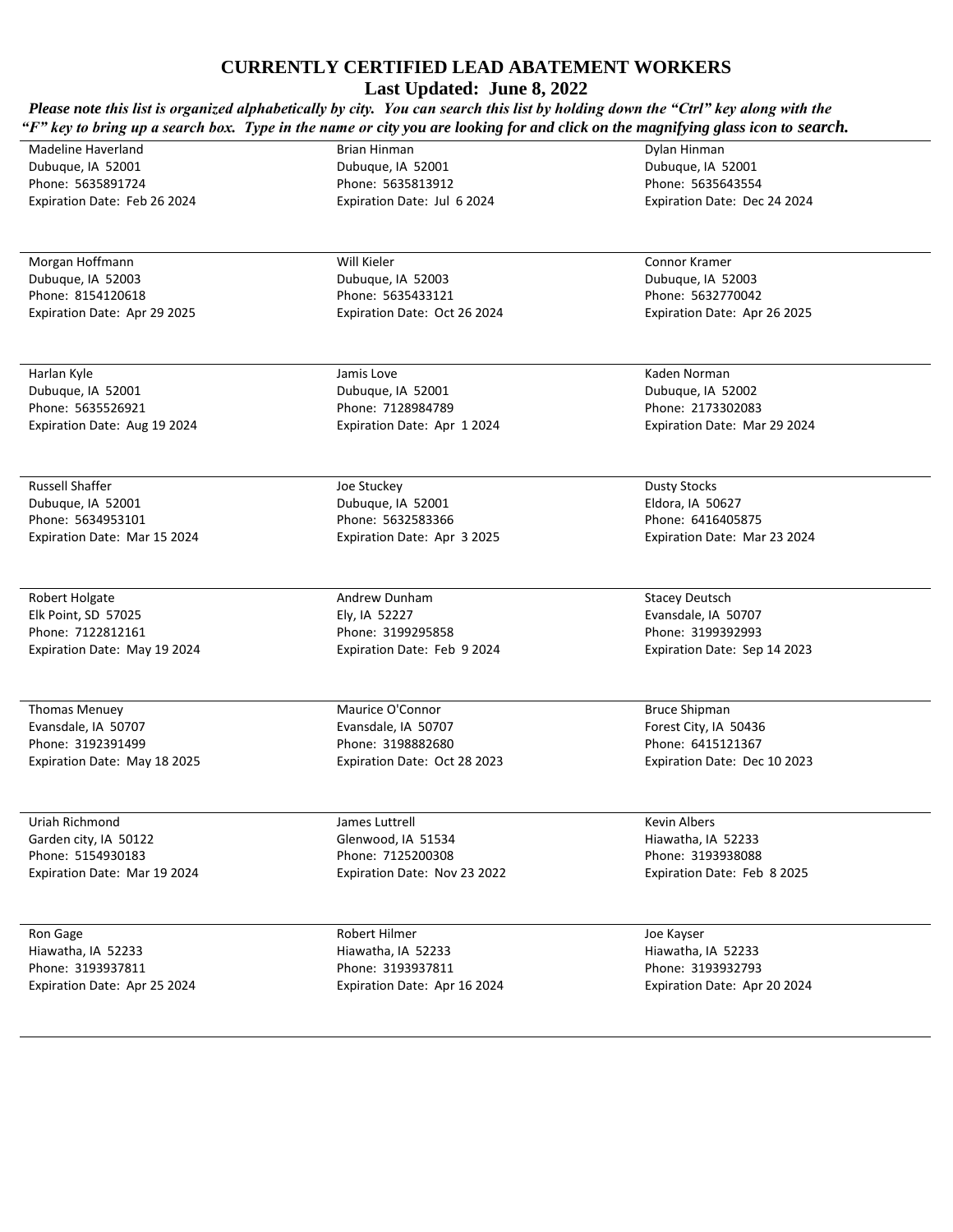| Last Updated: June 8, 2022<br>Please note this list is organized alphabetically by city. You can search this list by holding down the "Ctrl" key along with the<br>"F" key to bring up a search box. Type in the name or city you are looking for and click on the magnifying glass icon to search. |                                        |                                        |  |
|-----------------------------------------------------------------------------------------------------------------------------------------------------------------------------------------------------------------------------------------------------------------------------------------------------|----------------------------------------|----------------------------------------|--|
| Madeline Haverland                                                                                                                                                                                                                                                                                  | Brian Hinman                           | Dylan Hinman                           |  |
| Dubuque, IA 52001                                                                                                                                                                                                                                                                                   | Dubuque, IA 52001                      | Dubuque, IA 52001                      |  |
| Phone: 5635891724                                                                                                                                                                                                                                                                                   | Phone: 5635813912                      | Phone: 5635643554                      |  |
| Expiration Date: Feb 26 2024                                                                                                                                                                                                                                                                        | Expiration Date: Jul 6 2024            | Expiration Date: Dec 24 2024           |  |
| Morgan Hoffmann                                                                                                                                                                                                                                                                                     | Will Kieler                            | Connor Kramer                          |  |
| Dubuque, IA 52003                                                                                                                                                                                                                                                                                   | Dubuque, IA 52003                      | Dubuque, IA 52003                      |  |
| Phone: 8154120618                                                                                                                                                                                                                                                                                   | Phone: 5635433121                      | Phone: 5632770042                      |  |
| Expiration Date: Apr 29 2025                                                                                                                                                                                                                                                                        | Expiration Date: Oct 26 2024           | Expiration Date: Apr 26 2025           |  |
|                                                                                                                                                                                                                                                                                                     |                                        |                                        |  |
| Harlan Kyle                                                                                                                                                                                                                                                                                         | Jamis Love                             | Kaden Norman                           |  |
| Dubuque, IA 52001<br>Phone: 5635526921                                                                                                                                                                                                                                                              | Dubuque, IA 52001<br>Phone: 7128984789 | Dubuque, IA 52002<br>Phone: 2173302083 |  |
| Expiration Date: Aug 19 2024                                                                                                                                                                                                                                                                        | Expiration Date: Apr 1 2024            | Expiration Date: Mar 29 2024           |  |
|                                                                                                                                                                                                                                                                                                     |                                        |                                        |  |
| <b>Russell Shaffer</b>                                                                                                                                                                                                                                                                              | Joe Stuckey                            | <b>Dusty Stocks</b>                    |  |
| Dubuque, IA 52001<br>Phone: 5634953101                                                                                                                                                                                                                                                              | Dubuque, IA 52001<br>Phone: 5632583366 | Eldora, IA 50627<br>Phone: 6416405875  |  |
| Expiration Date: Mar 15 2024                                                                                                                                                                                                                                                                        | Expiration Date: Apr 3 2025            | Expiration Date: Mar 23 2024           |  |
|                                                                                                                                                                                                                                                                                                     |                                        |                                        |  |
| Robert Holgate                                                                                                                                                                                                                                                                                      | Andrew Dunham                          | <b>Stacey Deutsch</b>                  |  |
| Elk Point, SD 57025                                                                                                                                                                                                                                                                                 | Ely, IA 52227                          | Evansdale, IA 50707                    |  |
| Phone: 7122812161                                                                                                                                                                                                                                                                                   | Phone: 3199295858                      | Phone: 3199392993                      |  |
| Expiration Date: May 19 2024                                                                                                                                                                                                                                                                        | Expiration Date: Feb 9 2024            | Expiration Date: Sep 14 2023           |  |
| <b>Thomas Menuey</b>                                                                                                                                                                                                                                                                                | Maurice O'Connor                       | <b>Bruce Shipman</b>                   |  |
| Evansdale, IA 50707                                                                                                                                                                                                                                                                                 | Evansdale, IA 50707                    | Forest City, IA 50436                  |  |
| Phone: 3192391499                                                                                                                                                                                                                                                                                   | Phone: 3198882680                      | Phone: 6415121367                      |  |
| Expiration Date: May 18 2025                                                                                                                                                                                                                                                                        | Expiration Date: Oct 28 2023           | Expiration Date: Dec 10 2023           |  |
| Uriah Richmond                                                                                                                                                                                                                                                                                      | James Luttrell                         | <b>Kevin Albers</b>                    |  |
| Garden city, IA 50122                                                                                                                                                                                                                                                                               | Glenwood, IA 51534                     | Hiawatha, IA 52233                     |  |
| Phone: 5154930183                                                                                                                                                                                                                                                                                   | Phone: 7125200308                      | Phone: 3193938088                      |  |
| Expiration Date: Mar 19 2024                                                                                                                                                                                                                                                                        | Expiration Date: Nov 23 2022           | Expiration Date: Feb 8 2025            |  |
| Ron Gage                                                                                                                                                                                                                                                                                            | Robert Hilmer                          | Joe Kayser                             |  |
| Hiawatha, IA 52233                                                                                                                                                                                                                                                                                  | Hiawatha, IA 52233                     | Hiawatha, IA 52233                     |  |
| Phone: 3193937811                                                                                                                                                                                                                                                                                   | Phone: 3193937811                      | Phone: 3193932793                      |  |
| Expiration Date: Apr 25 2024                                                                                                                                                                                                                                                                        | Expiration Date: Apr 16 2024           | Expiration Date: Apr 20 2024           |  |
|                                                                                                                                                                                                                                                                                                     |                                        |                                        |  |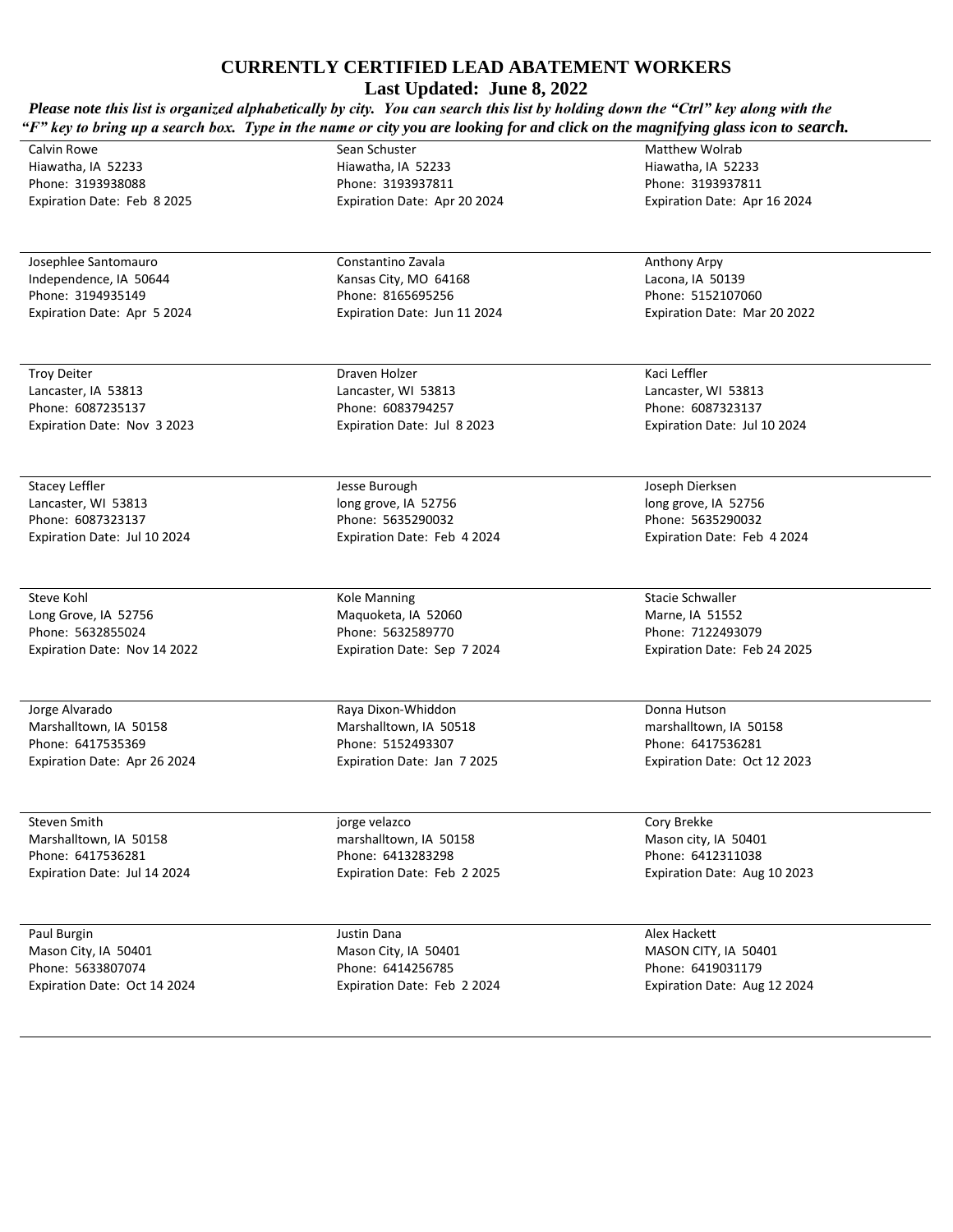**Last Updated: June 8, 2022**

*Please note this list is organized alphabetically by city. You can search this list by holding down the "Ctrl" key along with the "F" key to bring up a search box. Type in the name or city you are looking for and click on the magnifying glass icon to search.*  Sean Schuster Matthew Wolrab

Calvin Rowe Hiawatha, IA 52233 Phone: 3193938088 Expiration Date: Feb 8 2025

Josephlee Santomauro Independence, IA 50644 Phone: 3194935149 Expiration Date: Apr 5 2024

Troy Deiter Lancaster, IA 53813 Phone: 6087235137 Expiration Date: Nov 3 2023

Stacey Leffler Lancaster, WI 53813 Phone: 6087323137 Expiration Date: Jul 10 2024

Steve Kohl Long Grove, IA 52756 Phone: 5632855024 Expiration Date: Nov 14 2022

Jorge Alvarado Marshalltown, IA 50158 Phone: 6417535369 Expiration Date: Apr 26 2024

Steven Smith Marshalltown, IA 50158 Phone: 6417536281 Expiration Date: Jul 14 2024

Paul Burgin Mason City, IA 50401 Phone: 5633807074 Expiration Date: Oct 14 2024 Hiawatha, IA 52233 Phone: 3193937811 Expiration Date: Apr 20 2024

Constantino Zavala Kansas City, MO 64168 Phone: 8165695256 Expiration Date: Jun 11 2024

Draven Holzer Lancaster, WI 53813 Phone: 6083794257 Expiration Date: Jul 8 2023

Jesse Burough long grove, IA 52756 Phone: 5635290032 Expiration Date: Feb 4 2024

Kole Manning Maquoketa, IA 52060 Phone: 5632589770 Expiration Date: Sep 7 2024

Raya Dixon-Whiddon Marshalltown, IA 50518 Phone: 5152493307 Expiration Date: Jan 7 2025

jorge velazco marshalltown, IA 50158 Phone: 6413283298 Expiration Date: Feb 2 2025

Justin Dana Mason City, IA 50401 Phone: 6414256785 Expiration Date: Feb 2 2024 Phone: 5152107060 Expiration Date: Mar 20 2022

Hiawatha, IA 52233 Phone: 3193937811 Expiration Date: Apr 16 2024

Anthony Arpy Lacona, IA 50139

Kaci Leffler Lancaster, WI 53813 Phone: 6087323137 Expiration Date: Jul 10 2024

Joseph Dierksen long grove, IA 52756 Phone: 5635290032 Expiration Date: Feb 4 2024

Stacie Schwaller Marne, IA 51552 Phone: 7122493079 Expiration Date: Feb 24 2025

Donna Hutson marshalltown, IA 50158 Phone: 6417536281 Expiration Date: Oct 12 2023

Cory Brekke Mason city, IA 50401 Phone: 6412311038 Expiration Date: Aug 10 2023

Alex Hackett MASON CITY, IA 50401 Phone: 6419031179 Expiration Date: Aug 12 2024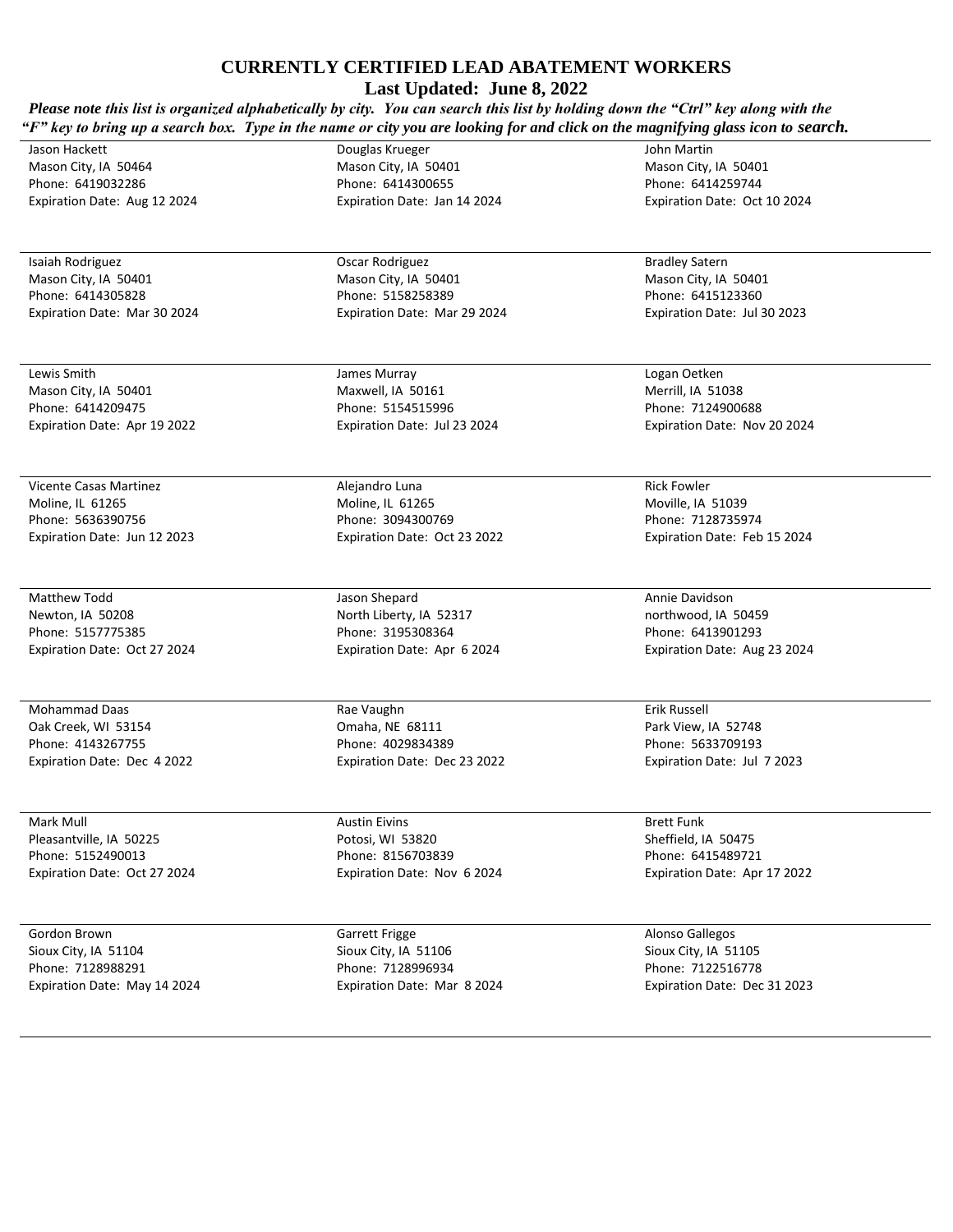**Last Updated: June 8, 2022**

*Please note this list is organized alphabetically by city. You can search this list by holding down the "Ctrl" key along with the "F" key to bring up a search box. Type in the name or city you are looking for and click on the magnifying glass icon to search.* 

Jason Hackett Mason City, IA 50464 Phone: 6419032286 Expiration Date: Aug 12 2024

Isaiah Rodriguez Mason City, IA 50401 Phone: 6414305828 Expiration Date: Mar 30 2024

Lewis Smith Mason City, IA 50401 Phone: 6414209475 Expiration Date: Apr 19 2022

Vicente Casas Martinez Moline, IL 61265 Phone: 5636390756 Expiration Date: Jun 12 2023

Matthew Todd Newton, IA 50208 Phone: 5157775385 Expiration Date: Oct 27 2024

Mohammad Daas Oak Creek, WI 53154 Phone: 4143267755 Expiration Date: Dec 4 2022

Mark Mull Pleasantville, IA 50225 Phone: 5152490013 Expiration Date: Oct 27 2024

Gordon Brown Sioux City, IA 51104 Phone: 7128988291 Expiration Date: May 14 2024 Mason City, IA 50401 Phone: 6414300655 Expiration Date: Jan 14 2024

Douglas Krueger

Oscar Rodriguez Mason City, IA 50401 Phone: 5158258389 Expiration Date: Mar 29 2024

James Murray Maxwell, IA 50161 Phone: 5154515996 Expiration Date: Jul 23 2024

Alejandro Luna Moline, IL 61265 Phone: 3094300769 Expiration Date: Oct 23 2022

Jason Shepard North Liberty, IA 52317 Phone: 3195308364 Expiration Date: Apr 6 2024

Rae Vaughn Omaha, NE 68111 Phone: 4029834389 Expiration Date: Dec 23 2022

Austin Eivins Potosi, WI 53820 Phone: 8156703839 Expiration Date: Nov 6 2024

Garrett Frigge Sioux City, IA 51106 Phone: 7128996934 Expiration Date: Mar 8 2024 John Martin Mason City, IA 50401 Phone: 6414259744 Expiration Date: Oct 10 2024

Bradley Satern Mason City, IA 50401 Phone: 6415123360 Expiration Date: Jul 30 2023

Logan Oetken Merrill, IA 51038 Phone: 7124900688 Expiration Date: Nov 20 2024

Rick Fowler Moville, IA 51039 Phone: 7128735974 Expiration Date: Feb 15 2024

Annie Davidson northwood, IA 50459 Phone: 6413901293 Expiration Date: Aug 23 2024

Erik Russell Park View, IA 52748 Phone: 5633709193 Expiration Date: Jul 7 2023

Brett Funk Sheffield, IA 50475 Phone: 6415489721 Expiration Date: Apr 17 2022

Alonso Gallegos Sioux City, IA 51105 Phone: 7122516778 Expiration Date: Dec 31 2023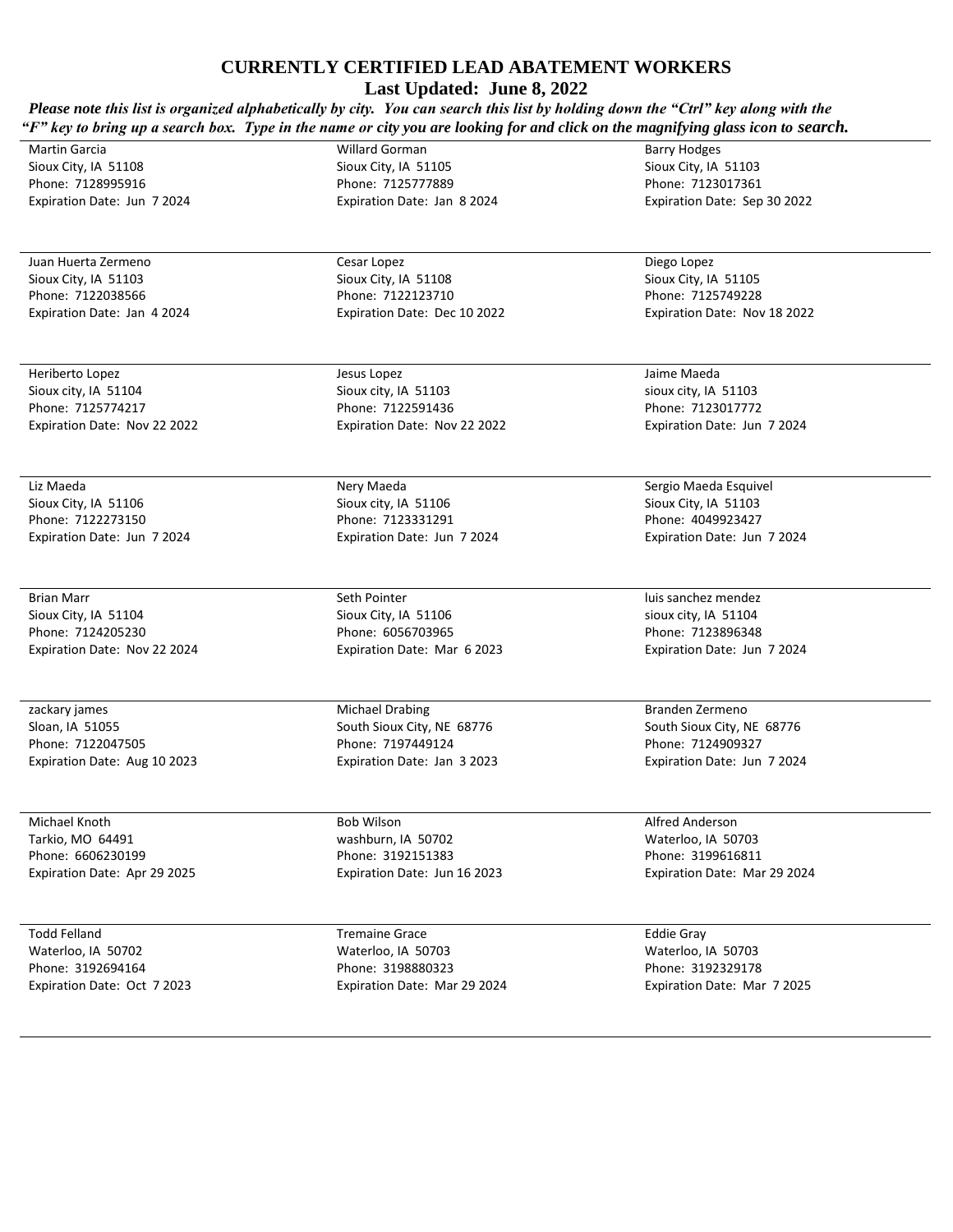**Last Updated: June 8, 2022**

| Please note this list is organized alphabetically by city. You can search this list by holding down the "Ctrl" key along with the<br>"F" key to bring up a search box. Type in the name or city you are looking for and click on the magnifying glass icon to search. |                              |                              |  |
|-----------------------------------------------------------------------------------------------------------------------------------------------------------------------------------------------------------------------------------------------------------------------|------------------------------|------------------------------|--|
| <b>Martin Garcia</b>                                                                                                                                                                                                                                                  | <b>Willard Gorman</b>        | <b>Barry Hodges</b>          |  |
| Sioux City, IA 51108                                                                                                                                                                                                                                                  | Sioux City, IA 51105         | Sioux City, IA 51103         |  |
| Phone: 7128995916                                                                                                                                                                                                                                                     | Phone: 7125777889            | Phone: 7123017361            |  |
| Expiration Date: Jun 7 2024                                                                                                                                                                                                                                           | Expiration Date: Jan 8 2024  | Expiration Date: Sep 30 2022 |  |
|                                                                                                                                                                                                                                                                       |                              |                              |  |
| Juan Huerta Zermeno                                                                                                                                                                                                                                                   | Cesar Lopez                  | Diego Lopez                  |  |
| Sioux City, IA 51103                                                                                                                                                                                                                                                  | Sioux City, IA 51108         | Sioux City, IA 51105         |  |
| Phone: 7122038566                                                                                                                                                                                                                                                     | Phone: 7122123710            | Phone: 7125749228            |  |
| Expiration Date: Jan 4 2024                                                                                                                                                                                                                                           | Expiration Date: Dec 10 2022 | Expiration Date: Nov 18 2022 |  |
| Heriberto Lopez                                                                                                                                                                                                                                                       | Jesus Lopez                  | Jaime Maeda                  |  |
| Sioux city, IA 51104                                                                                                                                                                                                                                                  | Sioux city, IA 51103         | sioux city, IA 51103         |  |
| Phone: 7125774217                                                                                                                                                                                                                                                     | Phone: 7122591436            | Phone: 7123017772            |  |
| Expiration Date: Nov 22 2022                                                                                                                                                                                                                                          | Expiration Date: Nov 22 2022 | Expiration Date: Jun 7 2024  |  |
| Liz Maeda                                                                                                                                                                                                                                                             | Nery Maeda                   | Sergio Maeda Esquivel        |  |
| Sioux City, IA 51106                                                                                                                                                                                                                                                  | Sioux city, IA 51106         | Sioux City, IA 51103         |  |
| Phone: 7122273150                                                                                                                                                                                                                                                     | Phone: 7123331291            | Phone: 4049923427            |  |
| Expiration Date: Jun 7 2024                                                                                                                                                                                                                                           | Expiration Date: Jun 7 2024  | Expiration Date: Jun 7 2024  |  |
|                                                                                                                                                                                                                                                                       |                              |                              |  |
| <b>Brian Marr</b>                                                                                                                                                                                                                                                     | Seth Pointer                 | luis sanchez mendez          |  |
| Sioux City, IA 51104                                                                                                                                                                                                                                                  | Sioux City, IA 51106         | sioux city, IA 51104         |  |
| Phone: 7124205230                                                                                                                                                                                                                                                     | Phone: 6056703965            | Phone: 7123896348            |  |
| Expiration Date: Nov 22 2024                                                                                                                                                                                                                                          | Expiration Date: Mar 6 2023  | Expiration Date: Jun 7 2024  |  |
| zackary james                                                                                                                                                                                                                                                         | <b>Michael Drabing</b>       | Branden Zermeno              |  |
| Sloan, IA 51055                                                                                                                                                                                                                                                       | South Sioux City, NE 68776   | South Sioux City, NE 68776   |  |
| Phone: 7122047505                                                                                                                                                                                                                                                     | Phone: 7197449124            | Phone: 7124909327            |  |
| Expiration Date: Aug 10 2023                                                                                                                                                                                                                                          | Expiration Date: Jan 3 2023  | Expiration Date: Jun 7 2024  |  |
| Michael Knoth                                                                                                                                                                                                                                                         | <b>Bob Wilson</b>            | Alfred Anderson              |  |
| Tarkio, MO 64491                                                                                                                                                                                                                                                      | washburn, IA 50702           | Waterloo, IA 50703           |  |
| Phone: 6606230199                                                                                                                                                                                                                                                     | Phone: 3192151383            | Phone: 3199616811            |  |
| Expiration Date: Apr 29 2025                                                                                                                                                                                                                                          | Expiration Date: Jun 16 2023 | Expiration Date: Mar 29 2024 |  |
| <b>Todd Felland</b>                                                                                                                                                                                                                                                   | <b>Tremaine Grace</b>        | <b>Eddie Gray</b>            |  |
| Waterloo, IA 50702                                                                                                                                                                                                                                                    | Waterloo, IA 50703           | Waterloo, IA 50703           |  |
| Phone: 3192694164                                                                                                                                                                                                                                                     | Phone: 3198880323            | Phone: 3192329178            |  |
| Expiration Date: Oct 7 2023                                                                                                                                                                                                                                           | Expiration Date: Mar 29 2024 | Expiration Date: Mar 7 2025  |  |
|                                                                                                                                                                                                                                                                       |                              |                              |  |
|                                                                                                                                                                                                                                                                       |                              |                              |  |